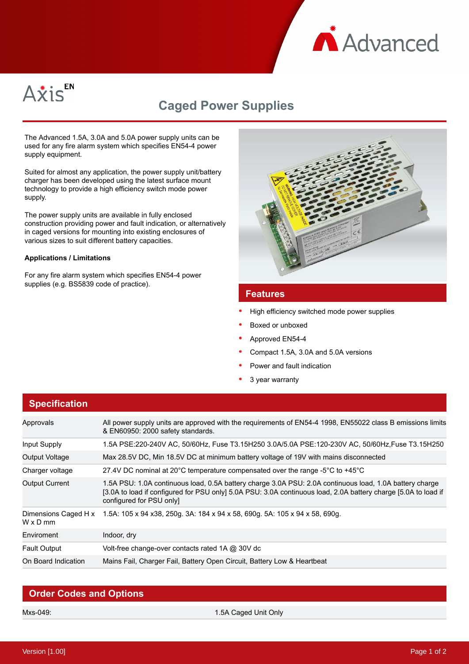



# **Caged Power Supplies**

The Advanced 1.5A, 3.0A and 5.0A power supply units can be used for any fire alarm system which specifies EN54-4 power supply equipment.

Suited for almost any application, the power supply unit/battery charger has been developed using the latest surface mount technology to provide a high efficiency switch mode power supply.

The power supply units are available in fully enclosed construction providing power and fault indication, or alternatively in caged versions for mounting into existing enclosures of various sizes to suit different battery capacities.

#### **Applications / Limitations**

For any fire alarm system which specifies EN54-4 power supplies (e.g. BS5839 code of practice).



### **Features**

- High efficiency switched mode power supplies
- Boxed or unboxed
- Approved EN54-4
- Compact 1.5A, 3.0A and 5.0A versions
- Power and fault indication
- 3 year warranty

| <b>Specification</b>                    |                                                                                                                                                                                                                                                       |
|-----------------------------------------|-------------------------------------------------------------------------------------------------------------------------------------------------------------------------------------------------------------------------------------------------------|
| Approvals                               | All power supply units are approved with the requirements of EN54-4 1998, EN55022 class B emissions limits<br>& EN60950: 2000 safety standards.                                                                                                       |
| Input Supply                            | 1.5A PSE:220-240V AC, 50/60Hz, Fuse T3.15H250 3.0A/5.0A PSE:120-230V AC, 50/60Hz, Fuse T3.15H250                                                                                                                                                      |
| Output Voltage                          | Max 28.5V DC, Min 18.5V DC at minimum battery voltage of 19V with mains disconnected                                                                                                                                                                  |
| Charger voltage                         | 27.4V DC nominal at 20°C temperature compensated over the range -5°C to +45°C                                                                                                                                                                         |
| <b>Output Current</b>                   | 1.5A PSU: 1.0A continuous load, 0.5A battery charge 3.0A PSU: 2.0A continuous load, 1.0A battery charge<br>[3.0A to load if configured for PSU only] 5.0A PSU: 3.0A continuous load, 2.0A battery charge [5.0A to load if<br>configured for PSU only] |
| Dimensions Caged H x<br>$W \times D$ mm | 1.5A: 105 x 94 x38, 250g. 3A: 184 x 94 x 58, 690g. 5A: 105 x 94 x 58, 690g.                                                                                                                                                                           |
| Enviroment                              | Indoor, dry                                                                                                                                                                                                                                           |
| <b>Fault Output</b>                     | Volt-free change-over contacts rated 1A @ 30V dc                                                                                                                                                                                                      |
| On Board Indication                     | Mains Fail, Charger Fail, Battery Open Circuit, Battery Low & Heartbeat                                                                                                                                                                               |

### **Order Codes and Options**

Mxs-049: 1.5A Caged Unit Only